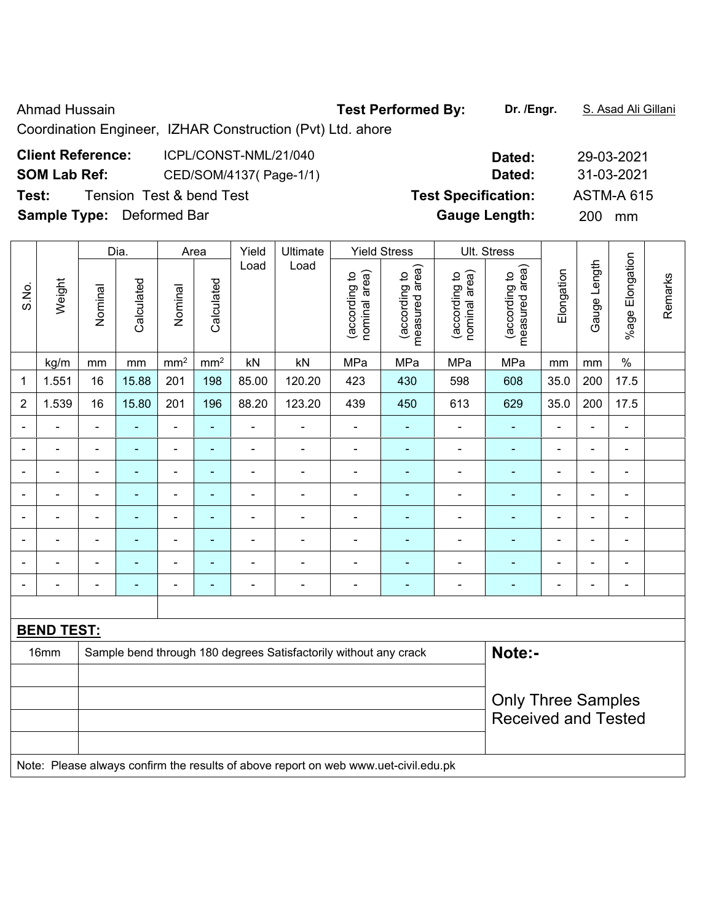## Ahmad Hussain **Test Performed By:** Dr. /Engr. **S. Asad Ali Gillani** Ahmad Hussain

Coordination Engineer, IZHAR Construction (Pvt) Ltd. ahore

| <b>Client Reference:</b>         | ICPL/CONST-NML/21/040               | Dated:                     | 29-03-2021        |
|----------------------------------|-------------------------------------|----------------------------|-------------------|
| <b>SOM Lab Ref:</b>              | CED/SOM/4137(Page-1/1)              | Dated:                     | 31-03-2021        |
| Test:                            | <b>Tension Test &amp; bend Test</b> | <b>Test Specification:</b> | <b>ASTM-A 615</b> |
| <b>Sample Type:</b> Deformed Bar |                                     | <b>Gauge Length:</b>       | 200 l<br>mm       |

|                | Dia.<br>Area      |                |                           |                              | Yield           | Ultimate                 |                                                                                     | <b>Yield Stress</b>            |                                 | Ult. Stress                    |                                 |                          |                |                              |         |
|----------------|-------------------|----------------|---------------------------|------------------------------|-----------------|--------------------------|-------------------------------------------------------------------------------------|--------------------------------|---------------------------------|--------------------------------|---------------------------------|--------------------------|----------------|------------------------------|---------|
| S.No.          | Weight            | Nominal        | Calculated                | Nominal                      | Calculated      | Load                     | Load                                                                                | (according to<br>nominal area) | measured area)<br>(according to | nominal area)<br>(according to | measured area)<br>(according to | Elongation               | Gauge Length   | %age Elongation              | Remarks |
|                | kg/m              | mm             | mm                        | mm <sup>2</sup>              | mm <sup>2</sup> | kN                       | kN                                                                                  | MPa                            | MPa                             | MPa                            | MPa                             | mm                       | mm             | $\%$                         |         |
| 1              | 1.551             | 16             | 15.88                     | 201                          | 198             | 85.00                    | 120.20                                                                              | 423                            | 430                             | 598                            | 608                             | 35.0                     | 200            | 17.5                         |         |
| $\overline{2}$ | 1.539             | 16             | 15.80                     | 201                          | 196             | 88.20                    | 123.20                                                                              | 439                            | 450                             | 613                            | 629                             | 35.0                     | 200            | 17.5                         |         |
|                | ÷,                | $\blacksquare$ |                           | ÷,                           | $\blacksquare$  | ä,                       | $\blacksquare$                                                                      | $\blacksquare$                 | ä,                              | $\blacksquare$                 | $\blacksquare$                  | $\blacksquare$           | ä,             | ÷,                           |         |
| $\blacksquare$ | -                 | $\blacksquare$ | $\blacksquare$            | ÷,                           | $\blacksquare$  | $\overline{a}$           | $\blacksquare$                                                                      | $\overline{a}$                 | ۰                               | $\blacksquare$                 | $\blacksquare$                  | $\overline{\phantom{0}}$ | $\blacksquare$ | $\overline{\phantom{a}}$     |         |
| $\blacksquare$ | ÷                 | $\blacksquare$ | $\blacksquare$            | ÷,                           | $\blacksquare$  | $\blacksquare$           | $\blacksquare$                                                                      | $\blacksquare$                 | ÷,                              | $\blacksquare$                 | $\blacksquare$                  | $\blacksquare$           | $\blacksquare$ | $\qquad \qquad \blacksquare$ |         |
| ۳              | $\blacksquare$    | $\blacksquare$ | $\blacksquare$            | $\qquad \qquad \blacksquare$ | $\blacksquare$  | $\frac{1}{2}$            | $\blacksquare$                                                                      | $\blacksquare$                 | ä,                              | $\blacksquare$                 | $\blacksquare$                  | $\blacksquare$           | $\blacksquare$ | $\qquad \qquad \blacksquare$ |         |
| ÷,             | ÷                 | $\blacksquare$ | ä,                        | $\blacksquare$               | ÷,              | ÷,                       | $\blacksquare$                                                                      | $\blacksquare$                 | ÷,                              | ÷,                             | $\blacksquare$                  | ÷                        | $\blacksquare$ | $\qquad \qquad \blacksquare$ |         |
|                |                   |                | ٠                         | ÷                            | $\blacksquare$  | $\blacksquare$           | $\blacksquare$                                                                      | $\blacksquare$                 | $\blacksquare$                  | $\blacksquare$                 | $\blacksquare$                  |                          | $\blacksquare$ | $\overline{\phantom{0}}$     |         |
|                |                   |                |                           | ÷                            | ۰               |                          | $\blacksquare$                                                                      |                                |                                 | $\blacksquare$                 | ٠                               |                          |                | ۰                            |         |
| ۰              | -                 | $\blacksquare$ | ٠                         | ۰                            | ٠               | $\overline{\phantom{0}}$ | $\blacksquare$                                                                      | $\blacksquare$                 | ۰                               | $\blacksquare$                 | $\blacksquare$                  | $\blacksquare$           | $\blacksquare$ | $\overline{\phantom{a}}$     |         |
|                |                   |                |                           |                              |                 |                          |                                                                                     |                                |                                 |                                |                                 |                          |                |                              |         |
|                | <b>BEND TEST:</b> |                |                           |                              |                 |                          |                                                                                     |                                |                                 |                                |                                 |                          |                |                              |         |
|                | 16mm              |                |                           |                              |                 |                          | Sample bend through 180 degrees Satisfactorily without any crack                    |                                |                                 |                                | Note:-                          |                          |                |                              |         |
|                |                   |                |                           |                              |                 |                          |                                                                                     |                                |                                 |                                |                                 |                          |                |                              |         |
|                |                   |                | <b>Only Three Samples</b> |                              |                 |                          |                                                                                     |                                |                                 |                                |                                 |                          |                |                              |         |
|                |                   |                |                           |                              |                 |                          |                                                                                     |                                |                                 |                                | <b>Received and Tested</b>      |                          |                |                              |         |
|                |                   |                |                           |                              |                 |                          |                                                                                     |                                |                                 |                                |                                 |                          |                |                              |         |
|                |                   |                |                           |                              |                 |                          | Note: Please always confirm the results of above report on web www.uet-civil.edu.pk |                                |                                 |                                |                                 |                          |                |                              |         |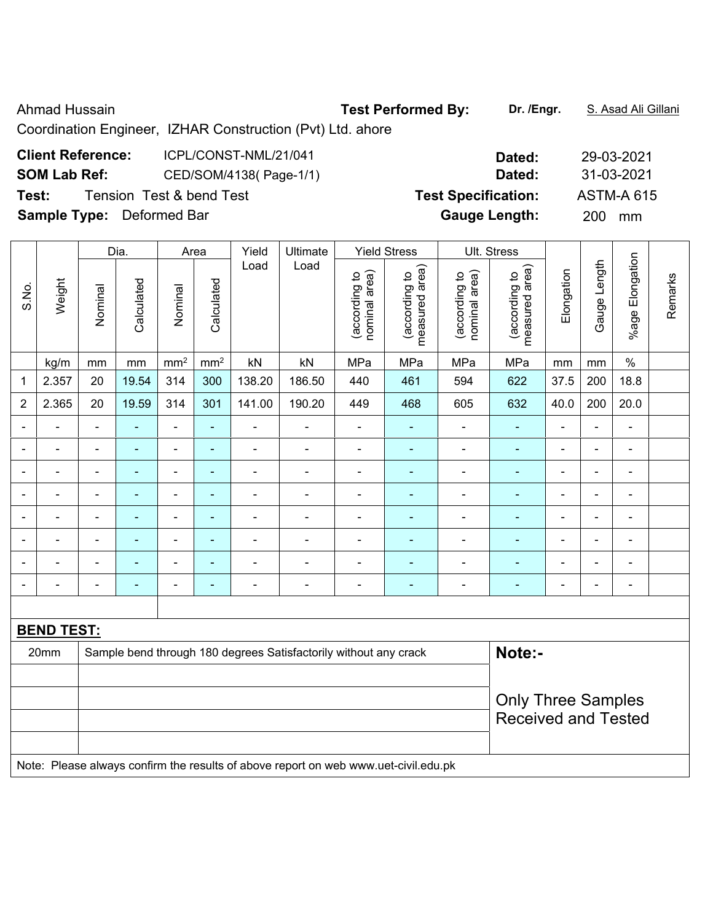Ahmad Hussain **Test Performed By:** Dr. /Engr. **S. Asad Ali Gillani** Ahmad Hussain

Coordination Engineer, IZHAR Construction (Pvt) Ltd. ahore

| <b>Client Reference:</b>         | ICPL/CONST-NML/21/041    | Dated:                     | 29-03-2021        |
|----------------------------------|--------------------------|----------------------------|-------------------|
| <b>SOM Lab Ref:</b>              | CED/SOM/4138(Page-1/1)   | Dated:                     | 31-03-2021        |
| Test:                            | Tension Test & bend Test | <b>Test Specification:</b> | <b>ASTM-A 615</b> |
| <b>Sample Type:</b> Deformed Bar |                          | <b>Gauge Length:</b>       | 200<br>mm         |

|                |                          |                           | Dia.           |                | Area            | Yield          | Ultimate                                                                            |                                | <b>Yield Stress</b>             |                                | Ult. Stress                     |                |                |                 |         |
|----------------|--------------------------|---------------------------|----------------|----------------|-----------------|----------------|-------------------------------------------------------------------------------------|--------------------------------|---------------------------------|--------------------------------|---------------------------------|----------------|----------------|-----------------|---------|
| S.No.          | Weight                   | Nominal                   | Calculated     | Nominal        | Calculated      | Load           | Load                                                                                | (according to<br>nominal area) | measured area)<br>(according to | (according to<br>nominal area) | measured area)<br>(according to | Elongation     | Gauge Length   | %age Elongation | Remarks |
|                | kg/m                     | mm                        | mm             | $\text{mm}^2$  | mm <sup>2</sup> | kN             | kN                                                                                  | MPa                            | MPa                             | MPa                            | MPa                             | mm             | mm             | $\%$            |         |
| 1              | 2.357                    | 20                        | 19.54          | 314            | 300             | 138.20         | 186.50                                                                              | 440                            | 461                             | 594                            | 622                             | 37.5           | 200            | 18.8            |         |
| $\overline{2}$ | 2.365                    | 20                        | 19.59          | 314            | 301             | 141.00         | 190.20                                                                              | 449                            | 468                             | 605                            | 632                             | 40.0           | 200            | 20.0            |         |
| $\blacksquare$ | $\blacksquare$           |                           | Ē.             | ä,             | $\blacksquare$  | $\blacksquare$ | $\blacksquare$                                                                      | $\blacksquare$                 | ٠                               | ä,                             | ä,                              | $\blacksquare$ | $\blacksquare$ | $\blacksquare$  |         |
| $\blacksquare$ | ÷                        | $\blacksquare$            | $\blacksquare$ | $\blacksquare$ | $\blacksquare$  | $\blacksquare$ | $\blacksquare$                                                                      | $\blacksquare$                 | $\blacksquare$                  | $\overline{\phantom{0}}$       | $\blacksquare$                  | $\blacksquare$ | $\blacksquare$ | $\blacksquare$  |         |
| $\blacksquare$ | $\overline{\phantom{0}}$ | $\overline{a}$            | $\blacksquare$ | $\blacksquare$ | $\blacksquare$  | $\overline{a}$ | $\blacksquare$                                                                      | $\blacksquare$                 | $\blacksquare$                  | $\overline{\phantom{0}}$       | $\blacksquare$                  | $\blacksquare$ | $\blacksquare$ | $\blacksquare$  |         |
|                | $\blacksquare$           | $\blacksquare$            | $\blacksquare$ | $\blacksquare$ | $\blacksquare$  | $\overline{a}$ | $\blacksquare$                                                                      | $\blacksquare$                 | $\blacksquare$                  | $\blacksquare$                 | $\blacksquare$                  | $\blacksquare$ | $\blacksquare$ | ä,              |         |
|                | ÷                        |                           | ä,             | ä,             | ä,              |                | ä,                                                                                  | ä,                             | $\blacksquare$                  | ä,                             | ä,                              |                | ä,             | $\blacksquare$  |         |
|                | ÷                        |                           |                | $\blacksquare$ | ÷,              | $\overline{a}$ |                                                                                     | $\blacksquare$                 | $\blacksquare$                  | -                              |                                 |                | $\overline{a}$ | $\blacksquare$  |         |
|                | $\overline{a}$           |                           | ۰              | ÷              | $\blacksquare$  | ۰              | $\blacksquare$                                                                      | $\overline{a}$                 | $\blacksquare$                  | ÷                              | $\blacksquare$                  | $\blacksquare$ | ٠              | $\blacksquare$  |         |
| ۰              | ÷                        | $\blacksquare$            | $\blacksquare$ | $\blacksquare$ | ÷               | $\overline{a}$ | $\overline{\phantom{a}}$                                                            | $\blacksquare$                 | ٠                               | $\overline{\phantom{0}}$       | $\blacksquare$                  | $\blacksquare$ | $\overline{a}$ | $\blacksquare$  |         |
|                |                          |                           |                |                |                 |                |                                                                                     |                                |                                 |                                |                                 |                |                |                 |         |
|                | <b>BEND TEST:</b>        |                           |                |                |                 |                |                                                                                     |                                |                                 |                                |                                 |                |                |                 |         |
|                | 20mm                     |                           |                |                |                 |                | Sample bend through 180 degrees Satisfactorily without any crack                    |                                |                                 |                                | Note:-                          |                |                |                 |         |
|                |                          |                           |                |                |                 |                |                                                                                     |                                |                                 |                                |                                 |                |                |                 |         |
|                |                          | <b>Only Three Samples</b> |                |                |                 |                |                                                                                     |                                |                                 |                                |                                 |                |                |                 |         |
|                |                          |                           |                |                |                 |                |                                                                                     |                                |                                 |                                | <b>Received and Tested</b>      |                |                |                 |         |
|                |                          |                           |                |                |                 |                | Note: Please always confirm the results of above report on web www.uet-civil.edu.pk |                                |                                 |                                |                                 |                |                |                 |         |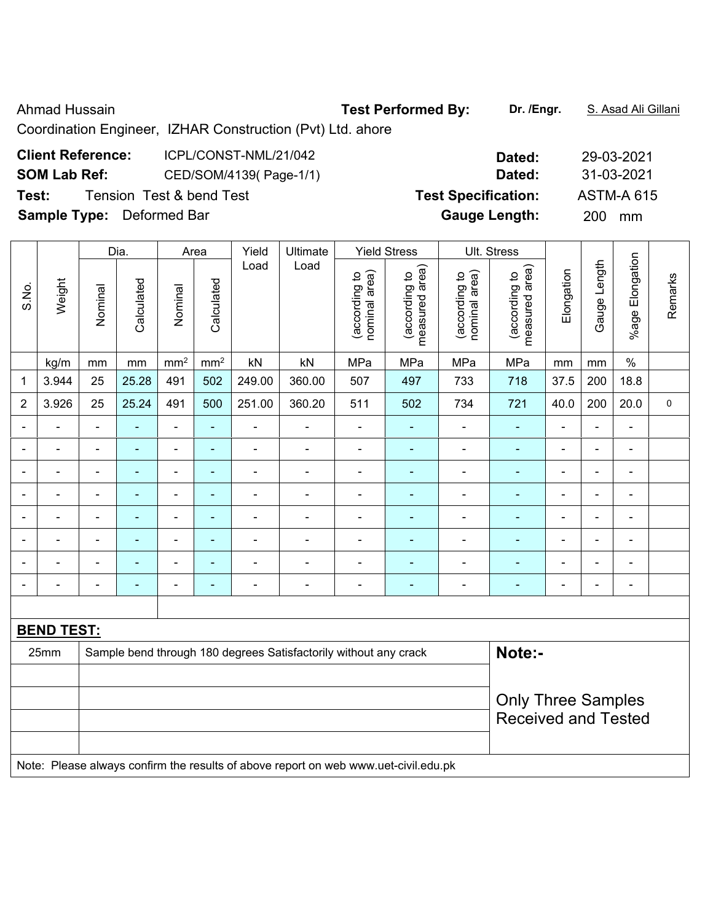Ahmad Hussain **Test Performed By:** Dr. /Engr. **S. Asad Ali Gillani** Ahmad Hussain

Coordination Engineer, IZHAR Construction (Pvt) Ltd. ahore

| <b>Client Reference:</b>         | ICPL/CONST-NML/21/042    | Dated:                     | 29-03-2021        |
|----------------------------------|--------------------------|----------------------------|-------------------|
| <b>SOM Lab Ref:</b>              | CED/SOM/4139(Page-1/1)   | Dated:                     | 31-03-2021        |
| Test:                            | Tension Test & bend Test | <b>Test Specification:</b> | <b>ASTM-A 615</b> |
| <b>Sample Type:</b> Deformed Bar |                          | <b>Gauge Length:</b>       | 200.<br>mm        |

|                |                   |                | Dia.           |                              | Area            | Yield          | <b>Ultimate</b>                                                                     |                                | <b>Yield Stress</b>             |                                | Ult. Stress                     |                |                |                 |             |
|----------------|-------------------|----------------|----------------|------------------------------|-----------------|----------------|-------------------------------------------------------------------------------------|--------------------------------|---------------------------------|--------------------------------|---------------------------------|----------------|----------------|-----------------|-------------|
| S.No.          | Weight            | Nominal        | Calculated     | Nominal                      | Calculated      | Load           | Load                                                                                | nominal area)<br>(according to | (according to<br>measured area) | nominal area)<br>(according to | (according to<br>measured area) | Elongation     | Gauge Length   | %age Elongation | Remarks     |
|                | kg/m              | mm             | mm             | mm <sup>2</sup>              | mm <sup>2</sup> | kN             | kN                                                                                  | MPa                            | MPa                             | MPa                            | MPa                             | mm             | mm             | $\%$            |             |
| $\mathbf 1$    | 3.944             | 25             | 25.28          | 491                          | 502             | 249.00         | 360.00                                                                              | 507                            | 497                             | 733                            | 718                             | 37.5           | 200            | 18.8            |             |
| $\overline{c}$ | 3.926             | 25             | 25.24          | 491                          | 500             | 251.00         | 360.20                                                                              | 511                            | 502                             | 734                            | 721                             | 40.0           | 200            | 20.0            | $\mathbf 0$ |
|                | $\blacksquare$    |                |                | $\blacksquare$               | ä,              | ä,             |                                                                                     | ÷                              |                                 | $\blacksquare$                 | $\blacksquare$                  | $\blacksquare$ |                |                 |             |
| $\blacksquare$ | $\blacksquare$    | $\blacksquare$ | $\blacksquare$ | $\qquad \qquad \blacksquare$ | $\blacksquare$  | $\blacksquare$ | $\blacksquare$                                                                      | ÷                              | $\blacksquare$                  | ä,                             | $\blacksquare$                  | $\blacksquare$ | $\blacksquare$ | $\blacksquare$  |             |
| ۰              | $\overline{a}$    | $\blacksquare$ | $\blacksquare$ | $\blacksquare$               | ٠               | $\blacksquare$ | $\blacksquare$                                                                      | $\blacksquare$                 | $\blacksquare$                  | $\overline{a}$                 | $\blacksquare$                  | $\blacksquare$ | $\blacksquare$ | $\blacksquare$  |             |
| $\blacksquare$ | ÷,                | $\blacksquare$ | $\blacksquare$ | $\blacksquare$               | ÷,              | ä,             | $\blacksquare$                                                                      | ÷,                             | ÷                               | ÷,                             | $\blacksquare$                  | $\blacksquare$ | $\blacksquare$ | $\frac{1}{2}$   |             |
|                | ۳                 | $\blacksquare$ | $\overline{a}$ | $\overline{a}$               | ä,              |                |                                                                                     | $\overline{a}$                 | ÷,                              | ÷.                             | $\mathbf{r}$                    |                |                | $\blacksquare$  |             |
|                | $\blacksquare$    | $\blacksquare$ |                | $\blacksquare$               | ä,              | Ē,             |                                                                                     | ÷                              |                                 | ÷                              |                                 |                | $\blacksquare$ | $\blacksquare$  |             |
|                | $\blacksquare$    | $\blacksquare$ |                | ÷                            | ۰               | $\blacksquare$ | $\blacksquare$                                                                      | $\overline{\phantom{0}}$       | ۰                               | $\overline{a}$                 | $\blacksquare$                  | $\blacksquare$ |                | $\blacksquare$  |             |
| $\blacksquare$ | $\blacksquare$    | $\blacksquare$ | $\blacksquare$ | $\blacksquare$               | ۰               | $\blacksquare$ | $\blacksquare$                                                                      | $\blacksquare$                 | ۰                               | $\overline{a}$                 | $\blacksquare$                  | $\blacksquare$ | $\blacksquare$ | $\blacksquare$  |             |
|                |                   |                |                |                              |                 |                |                                                                                     |                                |                                 |                                |                                 |                |                |                 |             |
|                | <b>BEND TEST:</b> |                |                |                              |                 |                |                                                                                     |                                |                                 |                                |                                 |                |                |                 |             |
|                | 25mm              |                |                |                              |                 |                | Sample bend through 180 degrees Satisfactorily without any crack                    |                                |                                 |                                | Note:-                          |                |                |                 |             |
|                |                   |                |                |                              |                 |                |                                                                                     |                                |                                 |                                |                                 |                |                |                 |             |
|                |                   |                |                |                              |                 |                |                                                                                     |                                |                                 |                                | <b>Only Three Samples</b>       |                |                |                 |             |
|                |                   |                |                |                              |                 |                |                                                                                     |                                |                                 |                                | <b>Received and Tested</b>      |                |                |                 |             |
|                |                   |                |                |                              |                 |                |                                                                                     |                                |                                 |                                |                                 |                |                |                 |             |
|                |                   |                |                |                              |                 |                | Note: Please always confirm the results of above report on web www.uet-civil.edu.pk |                                |                                 |                                |                                 |                |                |                 |             |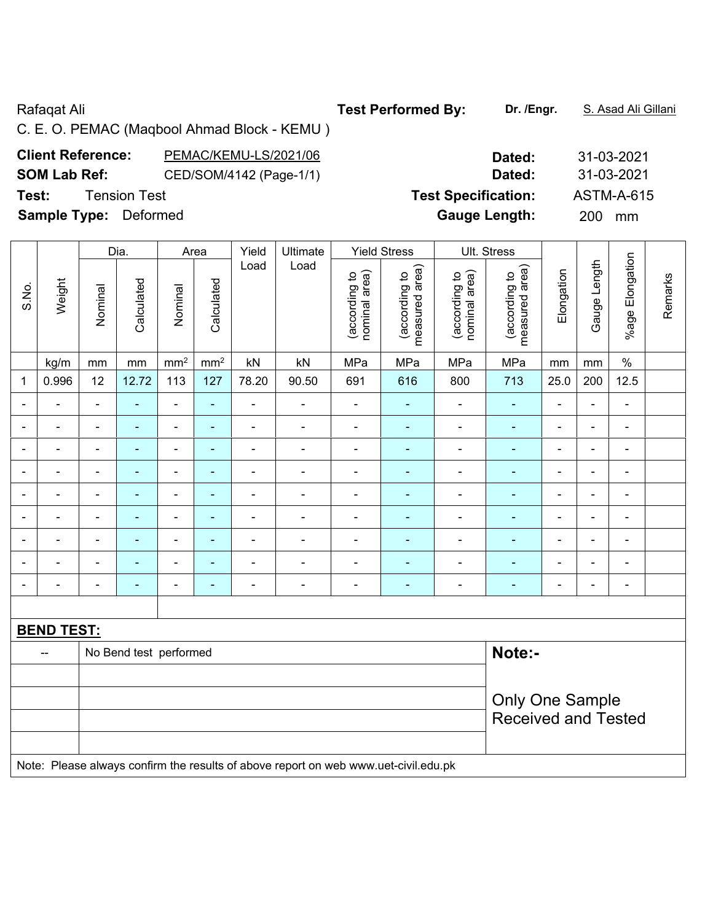## Rafaqat Ali **Test Performed By:** Dr. /Engr. **S. Asad Ali Gillani** Rafaqat Ali Gillani

C. E. O. PEMAC (Maqbool Ahmad Block - KEMU )

| <b>Client Reference:</b> | PEMAC/KEMU-LS/2021/06   | Dated: | 31-03-2021 |
|--------------------------|-------------------------|--------|------------|
| <b>SOM Lab Ref:</b>      | CED/SOM/4142 (Page-1/1) | Dated: | 31-03-2021 |

**Sample Type:** Deformed **Gauge Length:** 200 mm

|                          |                   |                            | Dia.                   | Area                         |                 | Yield          | Ultimate                                                                            |                                | <b>Yield Stress</b>             |                                | Ult. Stress                     |                          |                          |                          |         |
|--------------------------|-------------------|----------------------------|------------------------|------------------------------|-----------------|----------------|-------------------------------------------------------------------------------------|--------------------------------|---------------------------------|--------------------------------|---------------------------------|--------------------------|--------------------------|--------------------------|---------|
| S.No.                    | Weight            | Nominal                    | Calculated             | Nominal                      | Calculated      | Load           | Load                                                                                | nominal area)<br>(according to | measured area)<br>(according to | nominal area)<br>(according to | measured area)<br>(according to | Elongation               | Gauge Length             | %age Elongation          | Remarks |
|                          | kg/m              | mm                         | mm                     | $\text{mm}^2$                | mm <sup>2</sup> | kN             | kN                                                                                  | MPa                            | MPa                             | MPa                            | MPa                             | mm                       | mm                       | $\%$                     |         |
| 1                        | 0.996             | 12                         | 12.72                  | 113                          | 127             | 78.20          | 90.50                                                                               | 691                            | 616                             | 800                            | 713                             | 25.0                     | 200                      | 12.5                     |         |
|                          |                   | ä,                         | ä,                     | L,                           | ä,              | $\blacksquare$ | ä,                                                                                  | $\blacksquare$                 | ÷,                              | $\overline{a}$                 | ä,                              | $\blacksquare$           | $\overline{a}$           | $\blacksquare$           |         |
|                          |                   | $\blacksquare$             |                        | $\blacksquare$               | $\blacksquare$  |                | $\blacksquare$                                                                      | $\blacksquare$                 | $\blacksquare$                  | $\blacksquare$                 | $\blacksquare$                  |                          | $\blacksquare$           | $\blacksquare$           |         |
|                          |                   | ٠                          |                        | $\blacksquare$               | $\blacksquare$  | $\blacksquare$ | $\blacksquare$                                                                      | $\blacksquare$                 | $\blacksquare$                  | $\blacksquare$                 | $\blacksquare$                  | $\overline{\phantom{0}}$ | $\blacksquare$           | $\blacksquare$           |         |
| $\overline{\phantom{0}}$ |                   | $\overline{a}$             | ä,                     | ۰                            | ٠               | $\overline{a}$ | $\blacksquare$                                                                      | ÷                              | $\blacksquare$                  | ÷                              | $\blacksquare$                  | $\blacksquare$           | $\overline{\phantom{a}}$ | $\overline{\phantom{a}}$ |         |
| $\blacksquare$           | $\blacksquare$    | $\blacksquare$             | $\blacksquare$         | $\qquad \qquad \blacksquare$ | ٠               | $\blacksquare$ | $\blacksquare$                                                                      | $\overline{\phantom{a}}$       | $\blacksquare$                  | $\overline{\phantom{a}}$       | $\blacksquare$                  | $\blacksquare$           | ä,                       | $\blacksquare$           |         |
| $\blacksquare$           | $\blacksquare$    | $\blacksquare$             | ÷,                     | $\qquad \qquad \blacksquare$ | ÷               | $\blacksquare$ | $\blacksquare$                                                                      | $\blacksquare$                 | ä,                              | $\blacksquare$                 | ÷                               | $\blacksquare$           | $\blacksquare$           | $\blacksquare$           |         |
| $\blacksquare$           | $\blacksquare$    | $\blacksquare$             | $\blacksquare$         | $\blacksquare$               | $\blacksquare$  | $\blacksquare$ | $\blacksquare$                                                                      | $\blacksquare$                 | $\blacksquare$                  | $\blacksquare$                 | $\blacksquare$                  | $\blacksquare$           | $\blacksquare$           | $\blacksquare$           |         |
|                          |                   | $\blacksquare$             | -                      | $\blacksquare$               | ۰               |                | $\blacksquare$                                                                      | $\blacksquare$                 |                                 | ä,                             | $\blacksquare$                  | $\blacksquare$           | $\blacksquare$           | $\blacksquare$           |         |
|                          |                   |                            |                        | ۰                            | ۰               | ٠              | $\blacksquare$                                                                      | $\overline{\phantom{0}}$       |                                 | ٠                              | $\overline{\phantom{a}}$        |                          | $\blacksquare$           | $\overline{\phantom{a}}$ |         |
|                          |                   |                            |                        |                              |                 |                |                                                                                     |                                |                                 |                                |                                 |                          |                          |                          |         |
|                          | <b>BEND TEST:</b> |                            |                        |                              |                 |                |                                                                                     |                                |                                 |                                |                                 |                          |                          |                          |         |
|                          | $\overline{a}$    |                            | No Bend test performed |                              |                 |                |                                                                                     |                                |                                 |                                | Note:-                          |                          |                          |                          |         |
|                          |                   |                            |                        |                              |                 |                |                                                                                     |                                |                                 |                                |                                 |                          |                          |                          |         |
|                          |                   |                            |                        |                              |                 |                |                                                                                     |                                |                                 |                                | <b>Only One Sample</b>          |                          |                          |                          |         |
|                          |                   | <b>Received and Tested</b> |                        |                              |                 |                |                                                                                     |                                |                                 |                                |                                 |                          |                          |                          |         |
|                          |                   |                            |                        |                              |                 |                |                                                                                     |                                |                                 |                                |                                 |                          |                          |                          |         |
|                          |                   |                            |                        |                              |                 |                | Note: Please always confirm the results of above report on web www.uet-civil.edu.pk |                                |                                 |                                |                                 |                          |                          |                          |         |

| <b>Client Reference:</b>                                                 | PEMAC/KEMU-LS/2021/06   | Dated:                     | 31-03-2021 |
|--------------------------------------------------------------------------|-------------------------|----------------------------|------------|
| <b>SOM Lab Ref:</b>                                                      | CED/SOM/4142 (Page-1/1) | Dated:                     | 31-03-2021 |
| Test:                                                                    | Tension Test            | <b>Test Specification:</b> | ASTM-A-615 |
| $\mathbf{A}$ . I.e. $\mathbf{B}$ . I.e. $\mathbf{A}$ . I.e. $\mathbf{A}$ |                         |                            |            |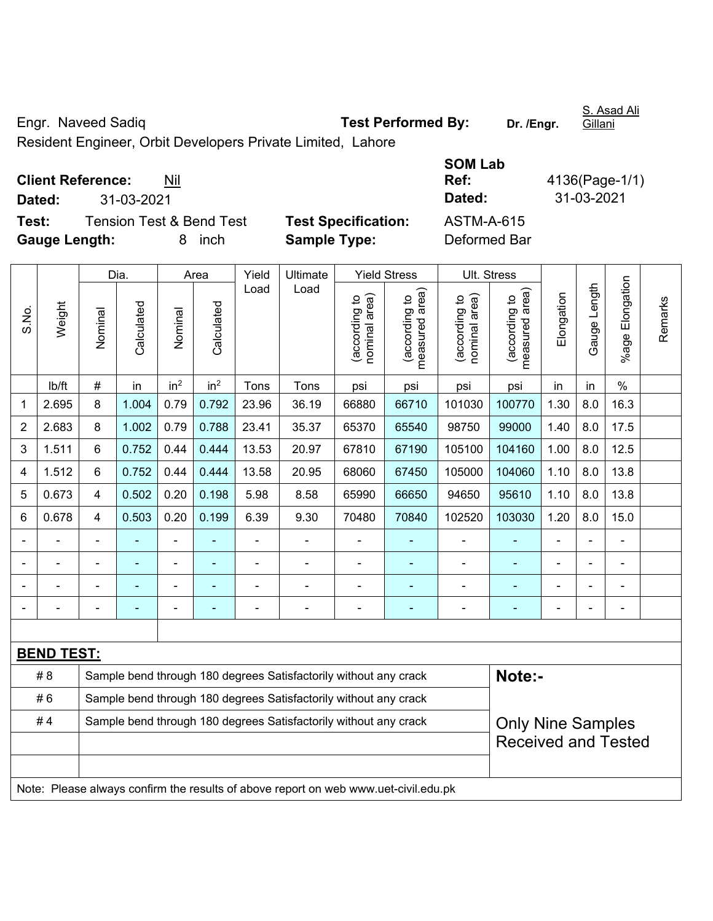Engr. Naveed Sadiq **Test Performed By:** Dr. /Engr.

S. Asad Ali Gillani

Resident Engineer, Orbit Developers Private Limited, Lahore

**Client Reference:** Nil

**Test:** Tension Test & Bend Test **Test Specification:** ASTM-A-615 **Gauge Length:** 8 inch **Sample Type:** Deformed Bar

**SOM Lab Ref:** 4136(Page-1/1) **Dated:** 31-03-2021 **Dated:** 31-03-2021

|                |                   |                                                                                              | Dia.       |                 | Area            | Yield<br>Ultimate |                                                                                     | <b>Yield Stress</b>            |                                             |                                | Ult. Stress                     |            |              |                           |         |
|----------------|-------------------|----------------------------------------------------------------------------------------------|------------|-----------------|-----------------|-------------------|-------------------------------------------------------------------------------------|--------------------------------|---------------------------------------------|--------------------------------|---------------------------------|------------|--------------|---------------------------|---------|
| S.No.          | Weight            | Nominal                                                                                      | Calculated | Nominal         | Calculated      | Load              | Load                                                                                | nominal area)<br>(according to | (according to<br>neasured area)<br>measured | nominal area)<br>(according to | (according to<br>measured area) | Elongation | Gauge Length | Elongation<br>$%$ age $ $ | Remarks |
|                | lb/ft             | $\#$                                                                                         | in         | in <sup>2</sup> | in <sup>2</sup> | Tons              | Tons                                                                                | psi                            | psi                                         | psi                            | psi                             | in         | in           | $\%$                      |         |
| 1              | 2.695             | 8                                                                                            | 1.004      | 0.79            | 0.792           | 23.96             | 36.19                                                                               | 66880                          | 66710                                       | 101030                         | 100770                          | 1.30       | 8.0          | 16.3                      |         |
| $\overline{2}$ | 2.683             | 8                                                                                            | 1.002      | 0.79            | 0.788           | 23.41             | 35.37                                                                               | 65370                          | 65540                                       | 98750                          | 99000                           | 1.40       | 8.0          | 17.5                      |         |
| 3              | 1.511             | 6                                                                                            | 0.752      | 0.44            | 0.444           | 13.53             | 20.97                                                                               | 67810                          | 67190                                       | 105100                         | 104160                          | 1.00       | 8.0          | 12.5                      |         |
| 4              | 1.512             | 6                                                                                            | 0.752      | 0.44            | 0.444           | 13.58             | 20.95                                                                               | 68060                          | 67450                                       | 105000                         | 104060                          | 1.10       | 8.0          | 13.8                      |         |
| 5              | 0.673             | $\overline{4}$                                                                               | 0.502      | 0.20            | 0.198           | 5.98              | 8.58                                                                                | 65990                          | 66650                                       | 94650                          | 95610                           | 1.10       | 8.0          | 13.8                      |         |
| 6              | 0.678             | $\overline{4}$                                                                               | 0.503      | 0.20            | 0.199           | 6.39              | 9.30                                                                                | 70480                          | 70840                                       | 102520                         | 103030                          | 1.20       | 8.0          | 15.0                      |         |
|                |                   | $\blacksquare$                                                                               | ÷,         | ÷,              | ۰               | $\blacksquare$    | $\blacksquare$                                                                      | ä,                             | ä,                                          | $\blacksquare$                 | $\blacksquare$                  |            |              | $\blacksquare$            |         |
|                |                   |                                                                                              |            | ÷               |                 |                   |                                                                                     | L,                             |                                             | L,                             | $\blacksquare$                  |            |              |                           |         |
|                |                   |                                                                                              |            | -               |                 |                   |                                                                                     |                                |                                             |                                |                                 |            |              |                           |         |
|                |                   |                                                                                              |            | -               |                 |                   |                                                                                     | ۳                              | ٠                                           | ۰                              | ۳                               |            |              | $\blacksquare$            |         |
|                |                   |                                                                                              |            |                 |                 |                   |                                                                                     |                                |                                             |                                |                                 |            |              |                           |         |
|                | <b>BEND TEST:</b> |                                                                                              |            |                 |                 |                   |                                                                                     |                                |                                             |                                |                                 |            |              |                           |         |
|                | # 8               |                                                                                              |            |                 |                 |                   | Sample bend through 180 degrees Satisfactorily without any crack                    |                                |                                             |                                | Note:-                          |            |              |                           |         |
|                | #6                |                                                                                              |            |                 |                 |                   | Sample bend through 180 degrees Satisfactorily without any crack                    |                                |                                             |                                |                                 |            |              |                           |         |
|                | #4                | Sample bend through 180 degrees Satisfactorily without any crack<br><b>Only Nine Samples</b> |            |                 |                 |                   |                                                                                     |                                |                                             |                                |                                 |            |              |                           |         |
|                |                   |                                                                                              |            |                 |                 |                   |                                                                                     |                                |                                             |                                | <b>Received and Tested</b>      |            |              |                           |         |
|                |                   |                                                                                              |            |                 |                 |                   |                                                                                     |                                |                                             |                                |                                 |            |              |                           |         |
|                |                   |                                                                                              |            |                 |                 |                   | Note: Please always confirm the results of above report on web www.uet-civil.edu.pk |                                |                                             |                                |                                 |            |              |                           |         |